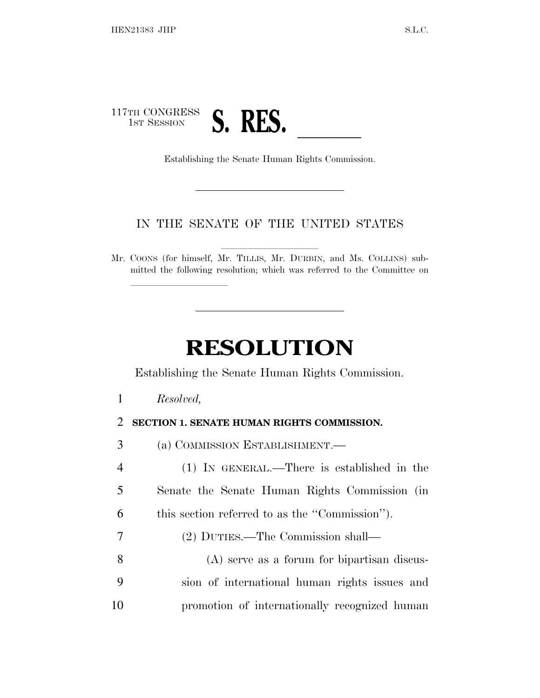

## IN THE SENATE OF THE UNITED STATES

Mr. COONS (for himself, Mr. TILLIS, Mr. DURBIN, and Ms. COLLINS) submitted the following resolution; which was referred to the Committee on

## **RESOLUTION**

Establishing the Senate Human Rights Commission.

*Resolved,*

lland and a state of the state of the state of the state of the state of the state of the state of the state o

## **SECTION 1. SENATE HUMAN RIGHTS COMMISSION.**

(a) COMMISSION ESTABLISHMENT.—

 (1) IN GENERAL.—There is established in the Senate the Senate Human Rights Commission (in this section referred to as the ''Commission'').

- (2) DUTIES.—The Commission shall—
- (A) serve as a forum for bipartisan discus- sion of international human rights issues and promotion of internationally recognized human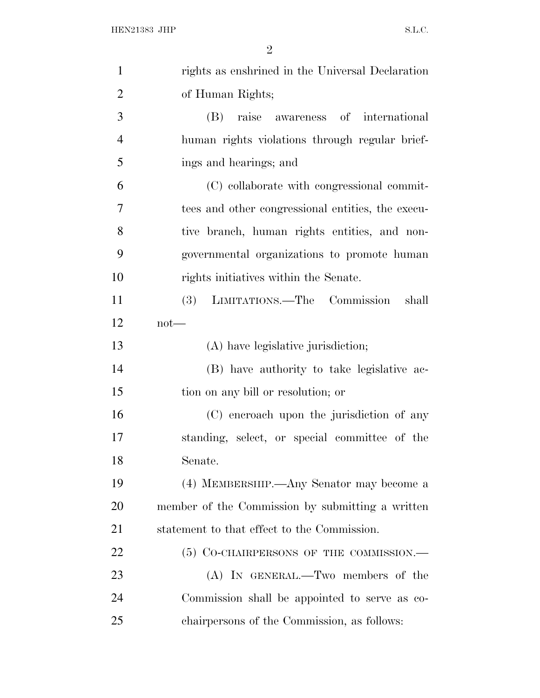| $\mathbf{1}$   | rights as enshrined in the Universal Declaration  |
|----------------|---------------------------------------------------|
| $\overline{2}$ | of Human Rights;                                  |
| 3              | (B) raise awareness of international              |
| $\overline{4}$ | human rights violations through regular brief-    |
| 5              | ings and hearings; and                            |
| 6              | (C) collaborate with congressional commit-        |
| $\overline{7}$ | tees and other congressional entities, the execu- |
| 8              | tive branch, human rights entities, and non-      |
| 9              | governmental organizations to promote human       |
| 10             | rights initiatives within the Senate.             |
| 11             | (3) LIMITATIONS.—The Commission<br>shall          |
| 12             | $not$ —                                           |
| 13             | (A) have legislative jurisdiction;                |
| 14             | (B) have authority to take legislative ac-        |
| 15             | tion on any bill or resolution; or                |
| 16             | (C) encroach upon the jurisdiction of any         |
| 17             | standing, select, or special committee of the     |
| 18             | Senate.                                           |
| 19             | (4) MEMBERSHIP.—Any Senator may become a          |
| 20             | member of the Commission by submitting a written  |
| 21             | statement to that effect to the Commission.       |
| 22             | $(5)$ Co-CHAIRPERSONS OF THE COMMISSION.—         |
| 23             | (A) IN GENERAL.—Two members of the                |
| 24             | Commission shall be appointed to serve as co-     |
| 25             | chairpersons of the Commission, as follows:       |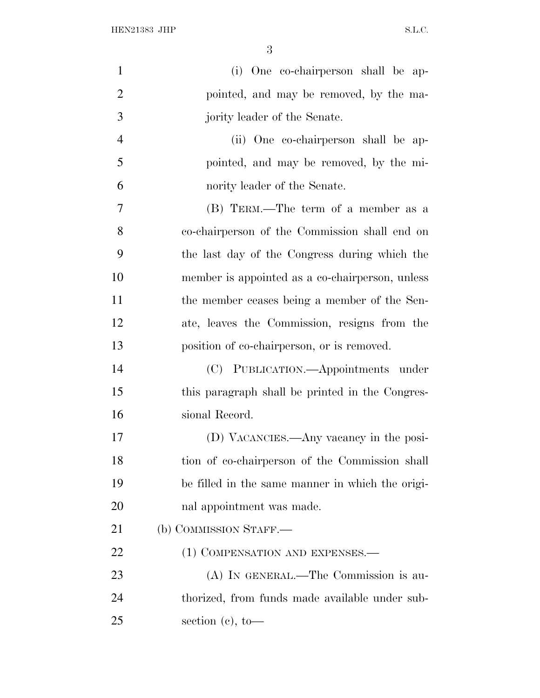HEN21383 JHP  $S.L.C.$ 

| $\mathbf{1}$   | (i) One co-chairperson shall be ap-              |
|----------------|--------------------------------------------------|
| $\overline{2}$ | pointed, and may be removed, by the ma-          |
| 3              | jority leader of the Senate.                     |
| 4              | (ii) One co-chairperson shall be ap-             |
| 5              | pointed, and may be removed, by the mi-          |
| 6              | nority leader of the Senate.                     |
| $\overline{7}$ | (B) TERM.—The term of a member as a              |
| 8              | co-chairperson of the Commission shall end on    |
| 9              | the last day of the Congress during which the    |
| 10             | member is appointed as a co-chairperson, unless  |
| 11             | the member ceases being a member of the Sen-     |
| 12             | ate, leaves the Commission, resigns from the     |
| 13             | position of co-chairperson, or is removed.       |
| 14             | (C) PUBLICATION.—Appointments under              |
| 15             | this paragraph shall be printed in the Congres-  |
| 16             | sional Record.                                   |
| 17             | (D) VACANCIES.—Any vacancy in the posi-          |
| 18             | tion of co-chairperson of the Commission shall   |
| 19             | be filled in the same manner in which the origi- |
| 20             | nal appointment was made.                        |
| 21             | (b) COMMISSION STAFF.—                           |
| 22             | (1) COMPENSATION AND EXPENSES.—                  |
| 23             | (A) IN GENERAL.—The Commission is au-            |
| 24             | thorized, from funds made available under sub-   |
| 25             | section $(c)$ , to-                              |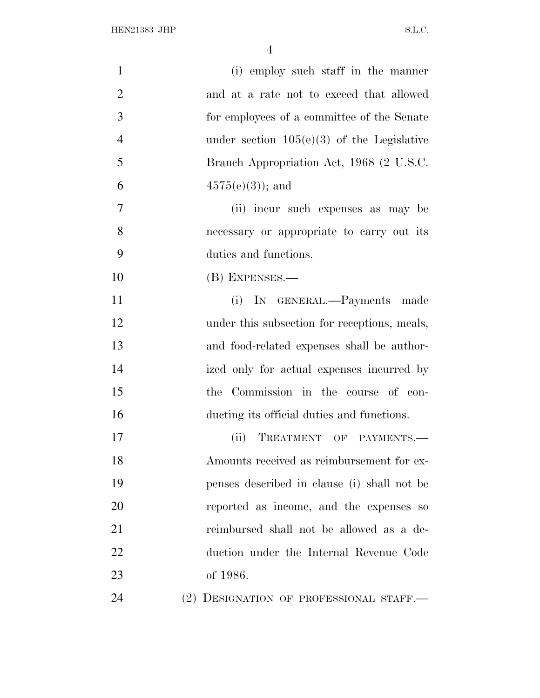| $\mathbf{1}$   | (i) employ such staff in the manner          |
|----------------|----------------------------------------------|
| $\overline{2}$ | and at a rate not to exceed that allowed     |
| 3              | for employees of a committee of the Senate   |
| $\overline{4}$ | under section $105(e)(3)$ of the Legislative |
| 5              | Branch Appropriation Act, 1968 (2 U.S.C.     |
| 6              | $4575(e(3))$ ; and                           |
| 7              | (ii) incur such expenses as may be           |
| 8              | necessary or appropriate to carry out its    |
| 9              | duties and functions.                        |
| 10             | (B) EXPENSES.—                               |
| 11             | (i) IN GENERAL.—Payments made                |
| 12             | under this subsection for receptions, meals, |
| 13             | and food-related expenses shall be author-   |
| 14             | ized only for actual expenses incurred by    |
| 15             | the Commission in the course of con-         |
| 16             | ducting its official duties and functions.   |
| 17             | TREATMENT OF PAYMENTS.-<br>(ii)              |
| 18             | Amounts received as reimbursement for ex-    |
| 19             | penses described in clause (i) shall not be  |
| 20             | reported as income, and the expenses so      |
| 21             | reimbursed shall not be allowed as a de-     |
| 22             | duction under the Internal Revenue Code      |
| 23             | of 1986.                                     |
| 24             | (2) DESIGNATION OF PROFESSIONAL STAFF.       |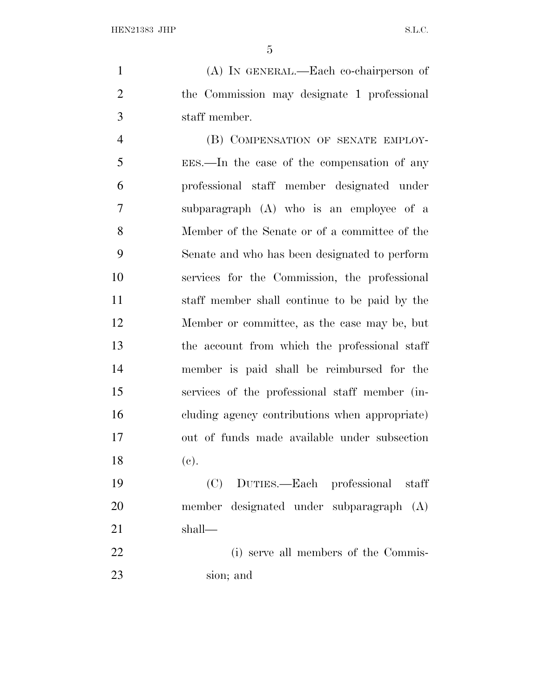(A) IN GENERAL.—Each co-chairperson of the Commission may designate 1 professional staff member.

4 (B) COMPENSATION OF SENATE EMPLOY- EES.—In the case of the compensation of any professional staff member designated under subparagraph (A) who is an employee of a Member of the Senate or of a committee of the Senate and who has been designated to perform services for the Commission, the professional staff member shall continue to be paid by the Member or committee, as the case may be, but the account from which the professional staff member is paid shall be reimbursed for the services of the professional staff member (in- cluding agency contributions when appropriate) out of funds made available under subsection (c).

 (C) DUTIES.—Each professional staff member designated under subparagraph (A) shall—

 (i) serve all members of the Commis-sion; and